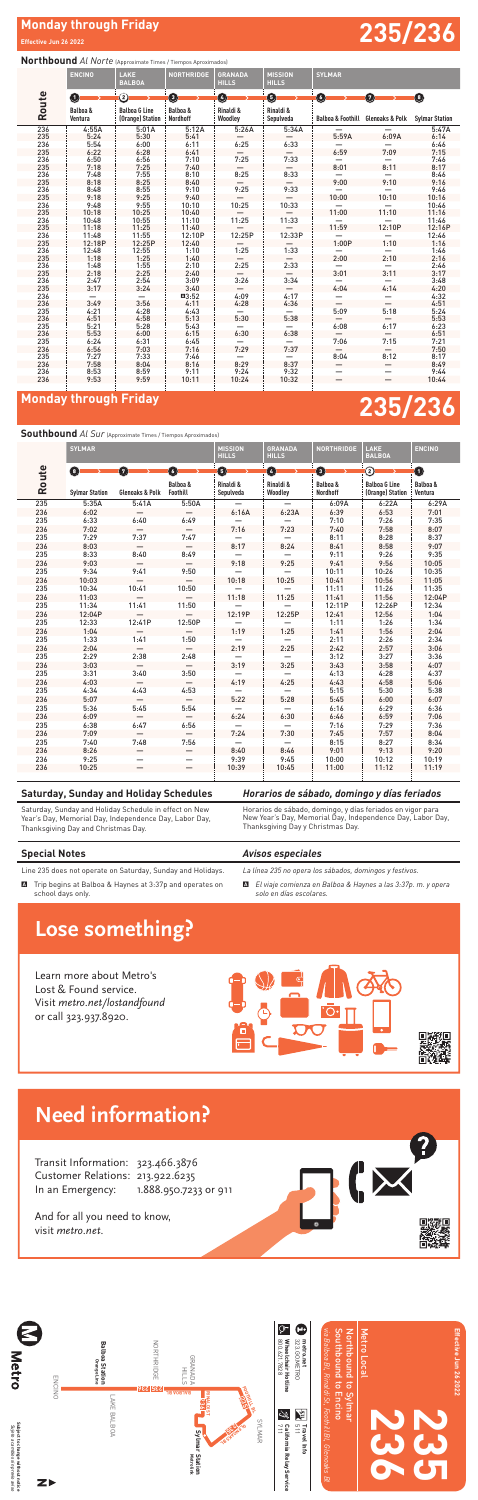# **Monday through Friday 235/236**

# Monday through Friday **235/236**<br>Effective Jun 26 2022

**Effective Jun 26 2022**

## **Saturday, Sunday and Holiday Schedules**

Saturday, Sunday and Holiday Schedule in effect on New Year's Day, Memorial Day, Independence Day, Labor Day, Thanksgiving Day and Christmas Day.

## *Horarios de sábado, domingo y días feriados*

Horarios de sábado, domingo, y días feriados en vigor para New Year's Day, Memorial Day, Independence Day, Labor Day, Thanksgiving Day y Christmas Day*.*

## **Special Notes**

Line 235 does not operate on Saturday, Sunday and Holidays.

A Trip begins at Balboa & Haynes at 3:37p and operates on school days only.

## *Avisos especiales*

*La línea 235 no opera los sábados, domingos y festivos.*

A *El viaje comienza en Balboa & Haynes a las 3:37p. m. y opera solo en días escolares.*

 6:24 6:31 6:45 — — 7:06 7:15 7:21 6:56 7:03 7:16 7:29 7:37 — — 7:50 7:27 7:33 7:46 — — 8:04 8:12 8:17 7:58 8:04 8:16 8:29 8:37 — — 8:49 8:53 8:59 9:11 9:24 9:32 — — 9:44 9:53 9:59 10:11 10:24 10:32 — — 10:44

## **Northbound** *Al Norte* (Approximate Times / Tiempos Aproximados) **Route ENCINO** LAKE<br>BALBOA **NORTHRIDGE GRANADA HILLS MISSION HILLS SYLMAR Balboa & Ventura Balboa G Line (Orange) Station Balboa & Nordhoff Rinaldi & Woodley Rinaldi & Sepulveda Balboa & Foothill Glenoaks & Polk Sylmar Station** 236 4:55A 5:01A 5:12A 5:26A 5:34A — — 5:47A 235 5:24 5:30 5:41 — — 5:59A 6:09A 6:14 236 5:54 6:00 6:11 6:25 6:33 — — 6:46 235 6:22 6:28 6:41 — — 6:59 7:09 7:15 236 6:50 6:56 7:10 7:25 7:33 — — 7:46 235 7:18 7:25 7:40 — — 8:01 8:11 8:17 236 7:48 7:55 8:10 8:25 8:33 — — 8:46 235 8:18 8:25 8:40 — — 9:00 9:10 9:16 236 8:48 8:55 9:10 9:25 9:33 — — 9:46 235 9:18 9:25 9:40 — — 10:00 10:10 10:16 236 9:48 9:55 10:10 10:25 10:33 — — 10:46 235 10:18 10:25 10:40 — — 11:00 11:10 11:16 236 10:48 10:55 11:10 11:25 11:33 — — 11:46 235 11:18 11:25 11:40 — — 11:59 12:10P 12:16P 236 11:48 11:55 12:10P 12:25P 12:33P — — 12:46 235 12:18P 12:25P 12:40 — — 1:00P 1:10 1:16 236 12:48 12:55 1:10 1:25 1:33 — — 1:46 235 1:18 1:25 1:40 — — 2:00 2:10 2:16 236 1:48 1:55 2:10 2:25 2:33 — — 2:46 235 2:18 2:25 2:40 — — 3:01 3:11 3:17 236 2:47 2:54 3:09 3:26 3:34 — — 3:48 235 3:17 3:24 3:40 — — 4:04 4:14 4:20 236 — — A3:52 4:09 4:17 — — 4:32 236 3:49 3:56 4:11 4:28 4:36 — — 4:51 235 4:21 4:28 4:43 — — 5:09 5:18 5:24 236 4:51 4:58 5:13 5:30 5:38 — — 5:53 235 5:21 5:28 5:43 — — 6:08 6:17 6:23 236 5:53 6:00 6:15 6:30 6:38 — — 6:51 1 2 3 4 5 6 7 8

## **Southbound** *Al Sur* (Approximate Times / Tiempos Aproximados)

## **Route SYLMAR MISSION HILLS GRANADA HILLS NORTHRIDGE** LAKE<br>BALBOA **ENCINO Sylmar Station Glenoaks & Polk Balboa & Foothill Rinaldi & Sepulveda Rinaldi & Woodley Balboa & Nordhoff Balboa G Line (Orange) Station Balboa & Ventura** 235 5:35A 5:41A 5:50A — — 6:09A 6:22A 6:29A 236 6:02 — — 6:16A 6:23A 6:39 6:53 7:01 235 6:33 6:40 6:49 — — 7:10 7:26 7:35 236 7:02 — — 7:16 7:23 7:40 7:58 8:07 235 7:29 7:37 7:47 — — 8:11 8:28 8:37 236 8:03 — — 8:17 8:24 8:41 8:58 9:07 235 8:33 8:40 8:49 — — 9:11 9:26 9:35 236 9:03 — — 9:18 9:25 9:41 9:56 10:05 235 9:34 9:41 9:50 — — 10:11 10:26 10:35 236 10:03 — — 10:18 10:25 10:41 10:56 11:05 235 10:34 10:41 10:50 — — 11:11 11:26 11:35 236 11:03 — — 11:18 11:25 11:41 11:56 12:04P 235 11:34 11:41 11:50 — — 12:11P 12:26P 12:34 236 12:04P — — 12:19P 12:25P 12:41 12:56 1:04 235 12:33 12:41P 12:50P — — 1:11 1:26 1:34 236 1:04 — — 1:19 1:25 1:41 1:56 2:04 235 1:33 1:41 1:50 — — 2:11 2:26 2:34 236 2:04 — — 2:19 2:25 2:42 2:57 3:06 235 2:29 2:38 2:48 — — 3:12 3:27 3:36 236 3:03 — — 3:19 3:25 3:43 3:58 4:07 235 3:31 3:40 3:50 — — 4:13 4:28 4:37 236 4:03 — — 4:19 4:25 4:43 4:58 5:06 235 4:34 4:43 4:53 — — 5:15 5:30 5:38 236 5:07 — — 5:22 5:28 5:45 6:00 6:07 235 5:36 5:45 5:54 — — 6:16 6:29 6:36 236 6:09 — — 6:24 6:30 6:46 6:59 7:06 235 6:38 6:47 6:56 — — 7:16 7:29 7:36 236 7:09 — — 7:24 7:30 7:45 7:57 8:04 235 7:40 7:48 7:56 — — 8:15 8:27 8:34 236 8:26 — — 8:40 8:46 9:01 9:13 9:20 236 9:25 — — 9:39 9:45 10:00 10:12 10:19 236 10:25 — — 10:39 10:45 11:00 11:12 11:19 8 7 6 5 4 3 2 1

# **Lose something?**

Learn more about Metro's Lost & Found service. Visit metro.net/lostandfound or call 323.937.8920.





Transit Information: 323.466.3876 Customer Relations: 213.922.6235 In an Emergency: 1.888.950.7233 or 911



And for all you need to know, visit metro.net.